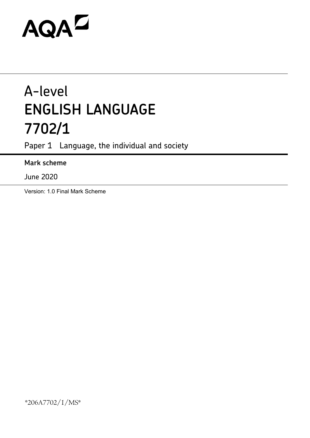# AQAD

## A-level **ENGLISH LANGUAGE 7702/1**

Paper 1 Language, the individual and society

### **Mark scheme**

June 2020

Version: 1.0 Final Mark Scheme

\*206A7702/1/MS\*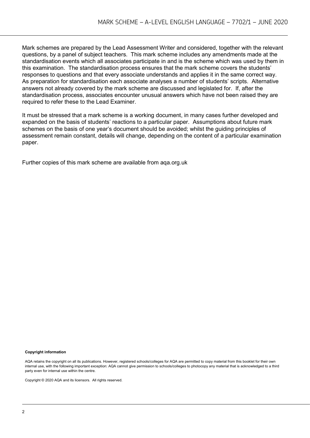Mark schemes are prepared by the Lead Assessment Writer and considered, together with the relevant questions, by a panel of subject teachers. This mark scheme includes any amendments made at the standardisation events which all associates participate in and is the scheme which was used by them in this examination. The standardisation process ensures that the mark scheme covers the students' responses to questions and that every associate understands and applies it in the same correct way. As preparation for standardisation each associate analyses a number of students' scripts. Alternative answers not already covered by the mark scheme are discussed and legislated for. If, after the standardisation process, associates encounter unusual answers which have not been raised they are required to refer these to the Lead Examiner.

It must be stressed that a mark scheme is a working document, in many cases further developed and expanded on the basis of students' reactions to a particular paper. Assumptions about future mark schemes on the basis of one year's document should be avoided; whilst the guiding principles of assessment remain constant, details will change, depending on the content of a particular examination paper.

Further copies of this mark scheme are available from aqa.org.uk

#### **Copyright information**

AQA retains the copyright on all its publications. However, registered schools/colleges for AQA are permitted to copy material from this booklet for their own internal use, with the following important exception: AQA cannot give permission to schools/colleges to photocopy any material that is acknowledged to a third party even for internal use within the centre.

Copyright © 2020 AQA and its licensors. All rights reserved.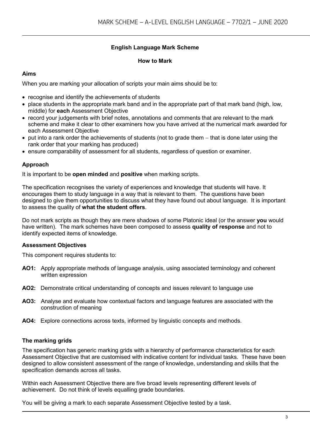#### **English Language Mark Scheme**

#### **How to Mark**

#### **Aims**

When you are marking your allocation of scripts your main aims should be to:

- recognise and identify the achievements of students
- place students in the appropriate mark band and in the appropriate part of that mark band (high, low, middle) for **each** Assessment Objective
- record your judgements with brief notes, annotations and comments that are relevant to the mark scheme and make it clear to other examiners how you have arrived at the numerical mark awarded for each Assessment Objective
- put into a rank order the achievements of students (not to grade them − that is done later using the rank order that your marking has produced)
- ensure comparability of assessment for all students, regardless of question or examiner.

#### **Approach**

It is important to be **open minded** and **positive** when marking scripts.

The specification recognises the variety of experiences and knowledge that students will have. It encourages them to study language in a way that is relevant to them. The questions have been designed to give them opportunities to discuss what they have found out about language. It is important to assess the quality of **what the student offers**.

Do not mark scripts as though they are mere shadows of some Platonic ideal (or the answer **you** would have written). The mark schemes have been composed to assess **quality of response** and not to identify expected items of knowledge.

#### **Assessment Objectives**

This component requires students to:

- **AO1:** Apply appropriate methods of language analysis, using associated terminology and coherent written expression
- **AO2:** Demonstrate critical understanding of concepts and issues relevant to language use
- **AO3:** Analyse and evaluate how contextual factors and language features are associated with the construction of meaning
- **AO4:** Explore connections across texts, informed by linguistic concepts and methods.

#### **The marking grids**

The specification has generic marking grids with a hierarchy of performance characteristics for each Assessment Objective that are customised with indicative content for individual tasks. These have been designed to allow consistent assessment of the range of knowledge, understanding and skills that the specification demands across all tasks.

Within each Assessment Objective there are five broad levels representing different levels of achievement. Do not think of levels equalling grade boundaries.

You will be giving a mark to each separate Assessment Objective tested by a task.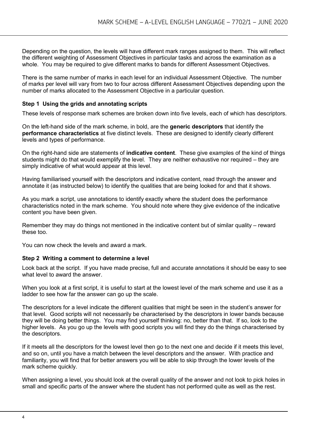Depending on the question, the levels will have different mark ranges assigned to them. This will reflect the different weighting of Assessment Objectives in particular tasks and across the examination as a whole. You may be required to give different marks to bands for different Assessment Objectives.

There is the same number of marks in each level for an individual Assessment Objective. The number of marks per level will vary from two to four across different Assessment Objectives depending upon the number of marks allocated to the Assessment Objective in a particular question.

#### **Step 1 Using the grids and annotating scripts**

These levels of response mark schemes are broken down into five levels, each of which has descriptors.

On the left-hand side of the mark scheme, in bold, are the **generic descriptors** that identify the **performance characteristics** at five distinct levels. These are designed to identify clearly different levels and types of performance.

On the right-hand side are statements of **indicative content**. These give examples of the kind of things students might do that would exemplify the level. They are neither exhaustive nor required – they are simply indicative of what would appear at this level.

Having familiarised yourself with the descriptors and indicative content, read through the answer and annotate it (as instructed below) to identify the qualities that are being looked for and that it shows.

As you mark a script, use annotations to identify exactly where the student does the performance characteristics noted in the mark scheme. You should note where they give evidence of the indicative content you have been given.

Remember they may do things not mentioned in the indicative content but of similar quality – reward these too.

You can now check the levels and award a mark.

#### **Step 2 Writing a comment to determine a level**

Look back at the script. If you have made precise, full and accurate annotations it should be easy to see what level to award the answer.

When you look at a first script, it is useful to start at the lowest level of the mark scheme and use it as a ladder to see how far the answer can go up the scale.

The descriptors for a level indicate the different qualities that might be seen in the student's answer for that level. Good scripts will not necessarily be characterised by the descriptors in lower bands because they will be doing better things. You may find yourself thinking: no, better than that. If so, look to the higher levels. As you go up the levels with good scripts you will find they do the things characterised by the descriptors.

If it meets all the descriptors for the lowest level then go to the next one and decide if it meets this level, and so on, until you have a match between the level descriptors and the answer. With practice and familiarity, you will find that for better answers you will be able to skip through the lower levels of the mark scheme quickly.

When assigning a level, you should look at the overall quality of the answer and not look to pick holes in small and specific parts of the answer where the student has not performed quite as well as the rest.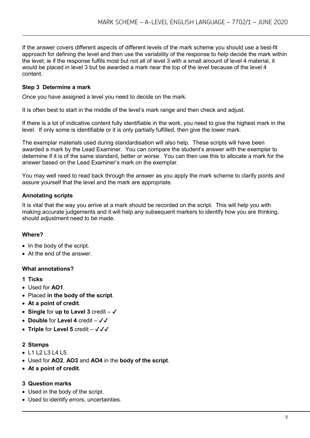If the answer covers different aspects of different levels of the mark scheme you should use a best-fit approach for defining the level and then use the variability of the response to help decide the mark within the level; ie if the response fulfils most but not all of level 3 with a small amount of level 4 material, it would be placed in level 3 but be awarded a mark near the top of the level because of the level 4 content.

#### **Step 3 Determine a mark**

Once you have assigned a level you need to decide on the mark.

It is often best to start in the middle of the level's mark range and then check and adjust.

If there is a lot of indicative content fully identifiable in the work, you need to give the highest mark in the level. If only some is identifiable or it is only partially fulfilled, then give the lower mark.

The exemplar materials used during standardisation will also help. These scripts will have been awarded a mark by the Lead Examiner. You can compare the student's answer with the exemplar to determine if it is of the same standard, better or worse. You can then use this to allocate a mark for the answer based on the Lead Examiner's mark on the exemplar.

You may well need to read back through the answer as you apply the mark scheme to clarify points and assure yourself that the level and the mark are appropriate.

#### **Annotating scripts**

It is vital that the way you arrive at a mark should be recorded on the script. This will help you with making accurate judgements and it will help any subsequent markers to identify how you are thinking, should adjustment need to be made.

#### **Where?**

- In the body of the script.
- At the end of the answer.

#### **What annotations?**

#### **1 Ticks**

- Used for **AO1**.
- Placed **in the body of the script**.
- **At a point of credit**.
- **Single** for **up to Level 3** credit ✔
- **Double** for **Level 4** credit ✔✔
- **Triple** for Level 5 credit  $-\sqrt{\sqrt{}}$

#### **2 Stamps**

- L1 L2 L3 L4 L5.
- Used for **AO2**, **AO3** and **AO4** in the **body of the script**.
- **At a point of credit**.

#### **3 Question marks**

- Used in the body of the script.
- Used to identify errors, uncertainties.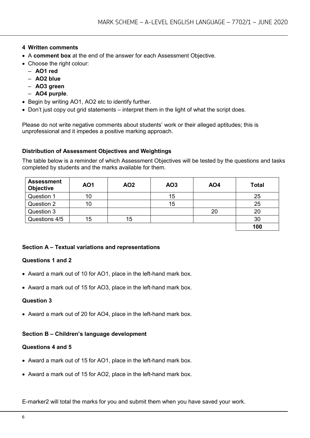#### **4 Written comments**

- A **comment box** at the end of the answer for each Assessment Objective.
- Choose the right colour:
	- **AO1 red**
	- **AO2 blue**
	- **AO3 green**
	- **AO4 purple**.
- Begin by writing AO1, AO2 etc to identify further.
- Don't just copy out grid statements interpret them in the light of what the script does.

Please do not write negative comments about students' work or their alleged aptitudes; this is unprofessional and it impedes a positive marking approach.

#### **Distribution of Assessment Objectives and Weightings**

The table below is a reminder of which Assessment Objectives will be tested by the questions and tasks completed by students and the marks available for them.

| <b>Assessment</b><br><b>Objective</b> | <b>AO1</b> | <b>AO2</b> | AO3 | AO4 | <b>Total</b> |
|---------------------------------------|------------|------------|-----|-----|--------------|
| Question 1                            | 10         |            | 15  |     | 25           |
| Question 2                            | 10         |            | 15  |     | 25           |
| Question 3                            |            |            |     | 20  | 20           |
| Questions 4/5                         | 15         | 15         |     |     | 30           |
|                                       |            |            |     |     | 100          |

#### **Section A – Textual variations and representations**

#### **Questions 1 and 2**

- Award a mark out of 10 for AO1, place in the left-hand mark box.
- Award a mark out of 15 for AO3, place in the left-hand mark box.

#### **Question 3**

• Award a mark out of 20 for AO4, place in the left-hand mark box.

#### **Section B – Children's language development**

#### **Questions 4 and 5**

- Award a mark out of 15 for AO1, place in the left-hand mark box.
- Award a mark out of 15 for AO2, place in the left-hand mark box.

E-marker2 will total the marks for you and submit them when you have saved your work.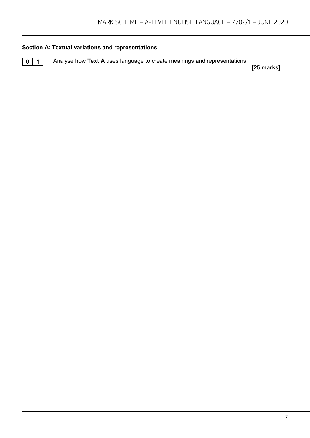#### **Section A: Textual variations and representations**

**0** 1 Analyse how Text A uses language to create meanings and representations.

**[25 marks]**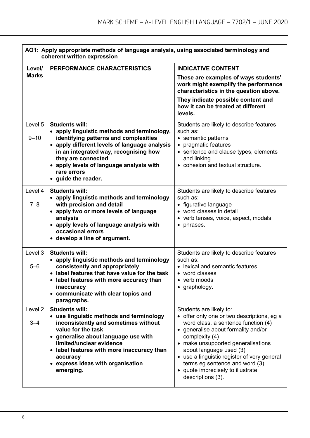|                        | AO1: Apply appropriate methods of language analysis, using associated terminology and<br>coherent written expression                                                                                                                                                                                            |                                                                                                                                                                                                                                                                                                                                                                                   |  |
|------------------------|-----------------------------------------------------------------------------------------------------------------------------------------------------------------------------------------------------------------------------------------------------------------------------------------------------------------|-----------------------------------------------------------------------------------------------------------------------------------------------------------------------------------------------------------------------------------------------------------------------------------------------------------------------------------------------------------------------------------|--|
| Level/<br><b>Marks</b> | PERFORMANCE CHARACTERISTICS                                                                                                                                                                                                                                                                                     | <b>INDICATIVE CONTENT</b><br>These are examples of ways students'<br>work might exemplify the performance<br>characteristics in the question above.<br>They indicate possible content and<br>how it can be treated at different<br>levels.                                                                                                                                        |  |
| Level 5<br>$9 - 10$    | <b>Students will:</b><br>• apply linguistic methods and terminology,<br>identifying patterns and complexities<br>• apply different levels of language analysis<br>in an integrated way, recognising how<br>they are connected<br>• apply levels of language analysis with<br>rare errors<br>• guide the reader. | Students are likely to describe features<br>such as:<br>• semantic patterns<br>• pragmatic features<br>• sentence and clause types, elements<br>and linking<br>• cohesion and textual structure.                                                                                                                                                                                  |  |
| Level 4<br>$7 - 8$     | <b>Students will:</b><br>• apply linguistic methods and terminology<br>with precision and detail<br>• apply two or more levels of language<br>analysis<br>• apply levels of language analysis with<br>occasional errors<br>• develop a line of argument.                                                        | Students are likely to describe features<br>such as:<br>• figurative language<br>• word classes in detail<br>• verb tenses, voice, aspect, modals<br>• phrases.                                                                                                                                                                                                                   |  |
| Level 3<br>$5 - 6$     | <b>Students will:</b><br>• apply linguistic methods and terminology<br>consistently and appropriately<br>• label features that have value for the task<br>• label features with more accuracy than<br>inaccuracy<br>• communicate with clear topics and<br>paragraphs.                                          | Students are likely to describe features<br>such as:<br>• lexical and semantic features<br>• word classes<br>• verb moods<br>• graphology.                                                                                                                                                                                                                                        |  |
| Level 2<br>$3 - 4$     | <b>Students will:</b><br>• use linguistic methods and terminology<br>inconsistently and sometimes without<br>value for the task<br>• generalise about language use with<br>limited/unclear evidence<br>• label features with more inaccuracy than<br>accuracy<br>• express ideas with organisation<br>emerging. | Students are likely to:<br>• offer only one or two descriptions, eg a<br>word class, a sentence function (4)<br>• generalise about formality and/or<br>complexity (4)<br>• make unsupported generalisations<br>about language used (3)<br>• use a linguistic register of very general<br>terms eg sentence and word (3)<br>• quote imprecisely to illustrate<br>descriptions (3). |  |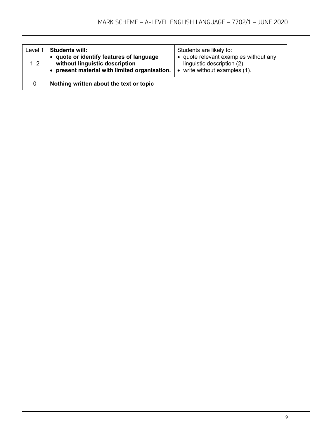| Level 1<br>$1 - 2$ | <b>Students will:</b><br>• quote or identify features of language<br>without linguistic description<br>• present material with limited organisation. | Students are likely to:<br>• quote relevant examples without any<br>linguistic description (2)<br>write without examples (1).<br>$\bullet$ |
|--------------------|------------------------------------------------------------------------------------------------------------------------------------------------------|--------------------------------------------------------------------------------------------------------------------------------------------|
| 0                  | Nothing written about the text or topic                                                                                                              |                                                                                                                                            |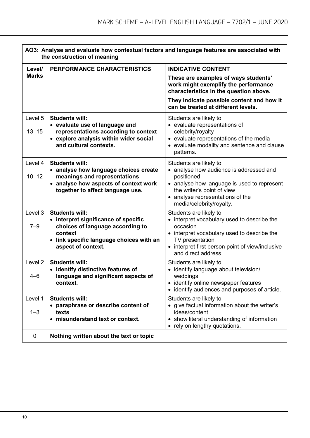| AO3: Analyse and evaluate how contextual factors and language features are associated with<br>the construction of meaning |                                                                                                                                                                                |                                                                                                                                                                                                                                          |
|---------------------------------------------------------------------------------------------------------------------------|--------------------------------------------------------------------------------------------------------------------------------------------------------------------------------|------------------------------------------------------------------------------------------------------------------------------------------------------------------------------------------------------------------------------------------|
| Level/<br><b>Marks</b>                                                                                                    | PERFORMANCE CHARACTERISTICS                                                                                                                                                    | <b>INDICATIVE CONTENT</b><br>These are examples of ways students'<br>work might exemplify the performance                                                                                                                                |
|                                                                                                                           |                                                                                                                                                                                | characteristics in the question above.<br>They indicate possible content and how it<br>can be treated at different levels.                                                                                                               |
| Level 5<br>$13 - 15$                                                                                                      | <b>Students will:</b><br>• evaluate use of language and<br>representations according to context<br>• explore analysis within wider social<br>and cultural contexts.            | Students are likely to:<br>• evaluate representations of<br>celebrity/royalty<br>• evaluate representations of the media<br>• evaluate modality and sentence and clause<br>patterns.                                                     |
| Level 4<br>$10 - 12$                                                                                                      | <b>Students will:</b><br>• analyse how language choices create<br>meanings and representations<br>• analyse how aspects of context work<br>together to affect language use.    | Students are likely to:<br>• analyse how audience is addressed and<br>positioned<br>• analyse how language is used to represent<br>the writer's point of view<br>analyse representations of the<br>media/celebrity/royalty.              |
| Level 3<br>$7 - 9$                                                                                                        | <b>Students will:</b><br>• interpret significance of specific<br>choices of language according to<br>context<br>• link specific language choices with an<br>aspect of context. | Students are likely to:<br>interpret vocabulary used to describe the<br>$\bullet$<br>occasion<br>• interpret vocabulary used to describe the<br>TV presentation<br>interpret first person point of view/inclusive<br>and direct address. |
| Level 2<br>$4 - 6$                                                                                                        | <b>Students will:</b><br>• identify distinctive features of<br>language and significant aspects of<br>context.                                                                 | Students are likely to:<br>identify language about television/<br>$\bullet$<br>weddings<br>• identify online newspaper features<br>identify audiences and purposes of article.                                                           |
| Level 1<br>$1 - 3$                                                                                                        | <b>Students will:</b><br>• paraphrase or describe content of<br>texts<br>• misunderstand text or context.                                                                      | Students are likely to:<br>• give factual information about the writer's<br>ideas/content<br>show literal understanding of information<br>rely on lengthy quotations.                                                                    |
| 0                                                                                                                         | Nothing written about the text or topic                                                                                                                                        |                                                                                                                                                                                                                                          |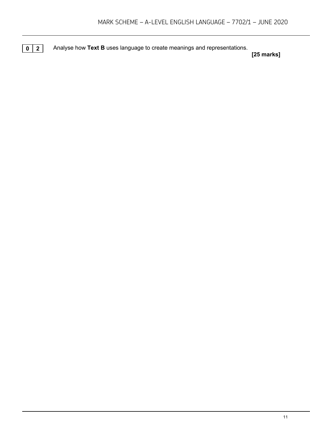**0 2** Analyse how Text B uses language to create meanings and representations.

**[25 marks]**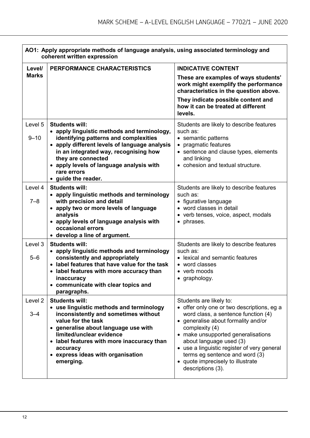| AO1: Apply appropriate methods of language analysis, using associated terminology and<br>coherent written expression |                                                                                        |                                                                                                                        |
|----------------------------------------------------------------------------------------------------------------------|----------------------------------------------------------------------------------------|------------------------------------------------------------------------------------------------------------------------|
| Level/                                                                                                               | PERFORMANCE CHARACTERISTICS                                                            | <b>INDICATIVE CONTENT</b>                                                                                              |
| <b>Marks</b>                                                                                                         |                                                                                        | These are examples of ways students'<br>work might exemplify the performance<br>characteristics in the question above. |
|                                                                                                                      |                                                                                        | They indicate possible content and<br>how it can be treated at different<br>levels.                                    |
| Level 5                                                                                                              | <b>Students will:</b>                                                                  | Students are likely to describe features                                                                               |
|                                                                                                                      | • apply linguistic methods and terminology,                                            | such as:                                                                                                               |
| $9 - 10$                                                                                                             | identifying patterns and complexities<br>• apply different levels of language analysis | • semantic patterns<br>• pragmatic features                                                                            |
|                                                                                                                      | in an integrated way, recognising how<br>they are connected                            | • sentence and clause types, elements<br>and linking                                                                   |
|                                                                                                                      | • apply levels of language analysis with<br>rare errors                                | • cohesion and textual structure.                                                                                      |
|                                                                                                                      | • guide the reader.                                                                    |                                                                                                                        |
| Level 4                                                                                                              | <b>Students will:</b>                                                                  | Students are likely to describe features                                                                               |
|                                                                                                                      | • apply linguistic methods and terminology                                             | such as:                                                                                                               |
| $7 - 8$                                                                                                              | with precision and detail                                                              | • figurative language                                                                                                  |
|                                                                                                                      | • apply two or more levels of language                                                 | • word classes in detail                                                                                               |
|                                                                                                                      | analysis<br>• apply levels of language analysis with                                   | • verb tenses, voice, aspect, modals<br>• phrases.                                                                     |
|                                                                                                                      | occasional errors                                                                      |                                                                                                                        |
|                                                                                                                      | • develop a line of argument.                                                          |                                                                                                                        |
| Level 3                                                                                                              | <b>Students will:</b>                                                                  | Students are likely to describe features                                                                               |
|                                                                                                                      | • apply linguistic methods and terminology                                             | such as:                                                                                                               |
| $5 - 6$                                                                                                              | consistently and appropriately<br>• label features that have value for the task        | • lexical and semantic features<br>• word classes                                                                      |
|                                                                                                                      | • label features with more accuracy than                                               | • verb moods                                                                                                           |
|                                                                                                                      | inaccuracy                                                                             | graphology.                                                                                                            |
|                                                                                                                      | • communicate with clear topics and<br>paragraphs.                                     |                                                                                                                        |
| Level <sub>2</sub>                                                                                                   | <b>Students will:</b>                                                                  | Students are likely to:                                                                                                |
|                                                                                                                      | • use linguistic methods and terminology                                               | • offer only one or two descriptions, eg a                                                                             |
| $3 - 4$                                                                                                              | inconsistently and sometimes without                                                   | word class, a sentence function (4)                                                                                    |
|                                                                                                                      | value for the task                                                                     | • generalise about formality and/or                                                                                    |
|                                                                                                                      | • generalise about language use with<br>limited/unclear evidence                       | complexity (4)<br>• make unsupported generalisations                                                                   |
|                                                                                                                      | • label features with more inaccuracy than                                             | about language used (3)                                                                                                |
|                                                                                                                      | accuracy                                                                               | • use a linguistic register of very general                                                                            |
|                                                                                                                      | • express ideas with organisation                                                      | terms eg sentence and word (3)                                                                                         |
|                                                                                                                      | emerging.                                                                              | • quote imprecisely to illustrate<br>descriptions (3).                                                                 |
|                                                                                                                      |                                                                                        |                                                                                                                        |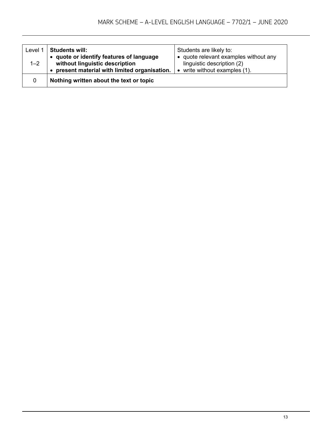| Level 1 | <b>Students will:</b>                         | Students are likely to:                  |
|---------|-----------------------------------------------|------------------------------------------|
|         | • quote or identify features of language      | • quote relevant examples without any    |
| $1 - 2$ | without linguistic description                | linguistic description (2)               |
|         | • present material with limited organisation. | write without examples (1).<br>$\bullet$ |
| 0       | Nothing written about the text or topic       |                                          |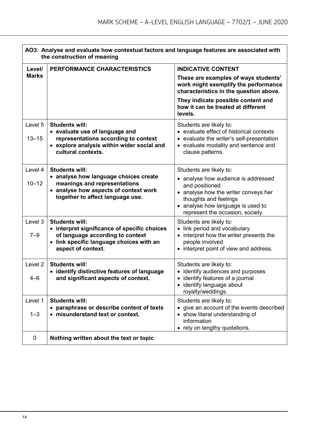| AO3: Analyse and evaluate how contextual factors and language features are associated with<br>the construction of meaning |                                                                                                                                                                             |                                                                                                                                                                                                                            |
|---------------------------------------------------------------------------------------------------------------------------|-----------------------------------------------------------------------------------------------------------------------------------------------------------------------------|----------------------------------------------------------------------------------------------------------------------------------------------------------------------------------------------------------------------------|
| Level/                                                                                                                    | PERFORMANCE CHARACTERISTICS                                                                                                                                                 | <b>INDICATIVE CONTENT</b>                                                                                                                                                                                                  |
| <b>Marks</b>                                                                                                              |                                                                                                                                                                             | These are examples of ways students'<br>work might exemplify the performance<br>characteristics in the question above.                                                                                                     |
|                                                                                                                           |                                                                                                                                                                             | They indicate possible content and<br>how it can be treated at different<br>levels.                                                                                                                                        |
| Level 5<br>$13 - 15$                                                                                                      | <b>Students will:</b><br>• evaluate use of language and<br>representations according to context<br>• explore analysis within wider social and<br>cultural contexts.         | Students are likely to:<br>• evaluate effect of historical contexts<br>• evaluate the writer's self-presentation<br>• evaluate modality and sentence and<br>clause patterns.                                               |
| Level 4<br>$10 - 12$                                                                                                      | <b>Students will:</b><br>• analyse how language choices create<br>meanings and representations<br>• analyse how aspects of context work<br>together to affect language use. | Students are likely to:<br>• analyse how audience is addressed<br>and positioned<br>• analyse how the writer conveys her<br>thoughts and feelings<br>• analyse how language is used to<br>represent the occasion, society. |
| Level 3<br>$7 - 9$                                                                                                        | <b>Students will:</b><br>• interpret significance of specific choices<br>of language according to context<br>• link specific language choices with an<br>aspect of context. | Students are likely to:<br>• link period and vocabulary<br>• interpret how the writer presents the<br>people involved<br>• interpret point of view and address.                                                            |
| Level 2<br>$4 - 6$                                                                                                        | <b>Students will:</b><br>• identify distinctive features of language<br>and significant aspects of context.                                                                 | Students are likely to:<br>• identify audiences and purposes<br>• identify features of a journal<br>• identify language about<br>royalty/weddings.                                                                         |
| Level 1<br>$1 - 3$                                                                                                        | <b>Students will:</b><br>• paraphrase or describe content of texts<br>• misunderstand text or context.                                                                      | Students are likely to:<br>• give an account of the events described<br>• show literal understanding of<br>information<br>• rely on lengthy quotations.                                                                    |
| $\mathbf 0$                                                                                                               | Nothing written about the text or topic                                                                                                                                     |                                                                                                                                                                                                                            |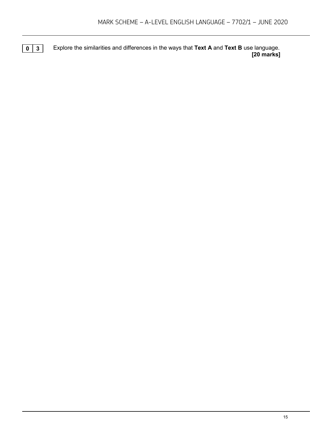**0 3** Explore the similarities and differences in the ways that **Text A** and **Text B** use language. **[20 marks]**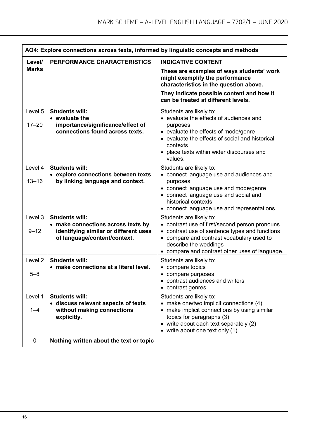| AO4: Explore connections across texts, informed by linguistic concepts and methods |                                                                                                             |                                                                                                                                                                                                                      |
|------------------------------------------------------------------------------------|-------------------------------------------------------------------------------------------------------------|----------------------------------------------------------------------------------------------------------------------------------------------------------------------------------------------------------------------|
| Level/                                                                             | PERFORMANCE CHARACTERISTICS                                                                                 | <b>INDICATIVE CONTENT</b>                                                                                                                                                                                            |
| <b>Marks</b>                                                                       |                                                                                                             | These are examples of ways students' work<br>might exemplify the performance<br>characteristics in the question above.<br>They indicate possible content and how it                                                  |
|                                                                                    |                                                                                                             | can be treated at different levels.                                                                                                                                                                                  |
| Level 5                                                                            | <b>Students will:</b><br>• evaluate the                                                                     | Students are likely to:<br>• evaluate the effects of audiences and                                                                                                                                                   |
| $17 - 20$                                                                          | importance/significance/effect of<br>connections found across texts.                                        | purposes<br>• evaluate the effects of mode/genre<br>• evaluate the effects of social and historical<br>contexts<br>• place texts within wider discourses and<br>values.                                              |
| Level 4                                                                            | <b>Students will:</b>                                                                                       | Students are likely to:                                                                                                                                                                                              |
| $13 - 16$                                                                          | • explore connections between texts<br>by linking language and context.                                     | • connect language use and audiences and<br>purposes<br>• connect language use and mode/genre<br>• connect language use and social and<br>historical contexts<br>• connect language use and representations.         |
| Level 3                                                                            | <b>Students will:</b>                                                                                       | Students are likely to:                                                                                                                                                                                              |
| $9 - 12$                                                                           | • make connections across texts by<br>identifying similar or different uses<br>of language/content/context. | contrast use of first/second person pronouns<br>contrast use of sentence types and functions<br>• compare and contrast vocabulary used to<br>describe the weddings<br>• compare and contrast other uses of language. |
| Level <sub>2</sub>                                                                 | <b>Students will:</b>                                                                                       | Students are likely to:                                                                                                                                                                                              |
| $5 - 8$                                                                            | • make connections at a literal level.                                                                      | • compare topics<br>• compare purposes<br>• contrast audiences and writers<br>contrast genres.                                                                                                                       |
| Level 1                                                                            | <b>Students will:</b>                                                                                       | Students are likely to:                                                                                                                                                                                              |
| $1 - 4$                                                                            | • discuss relevant aspects of texts<br>without making connections<br>explicitly.                            | make one/two implicit connections (4)<br>• make implicit connections by using similar<br>topics for paragraphs (3)<br>• write about each text separately (2)<br>• write about one text only $(1)$ .                  |
| $\mathbf 0$                                                                        | Nothing written about the text or topic                                                                     |                                                                                                                                                                                                                      |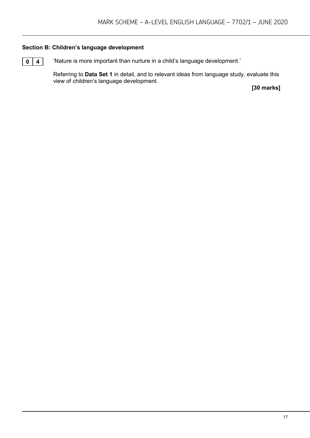#### **Section B: Children's language development**

**0 4** 'Nature is more important than nurture in a child's language development.'

Referring to **Data Set 1** in detail, and to relevant ideas from language study, evaluate this view of children's language development.

**[30 marks]**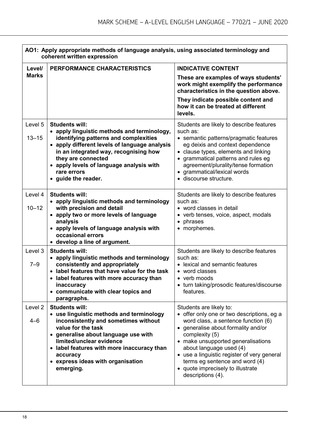| AO1: Apply appropriate methods of language analysis, using associated terminology and<br>coherent written expression |                                                                                                                                                                                                                                                                                                                 |                                                                                                                                                                                                                                                                                                                                                                                   |
|----------------------------------------------------------------------------------------------------------------------|-----------------------------------------------------------------------------------------------------------------------------------------------------------------------------------------------------------------------------------------------------------------------------------------------------------------|-----------------------------------------------------------------------------------------------------------------------------------------------------------------------------------------------------------------------------------------------------------------------------------------------------------------------------------------------------------------------------------|
| Level/                                                                                                               | PERFORMANCE CHARACTERISTICS                                                                                                                                                                                                                                                                                     | <b>INDICATIVE CONTENT</b>                                                                                                                                                                                                                                                                                                                                                         |
| <b>Marks</b>                                                                                                         |                                                                                                                                                                                                                                                                                                                 | These are examples of ways students'<br>work might exemplify the performance<br>characteristics in the question above.                                                                                                                                                                                                                                                            |
|                                                                                                                      |                                                                                                                                                                                                                                                                                                                 | They indicate possible content and<br>how it can be treated at different<br>levels.                                                                                                                                                                                                                                                                                               |
| Level 5<br>$13 - 15$                                                                                                 | <b>Students will:</b><br>• apply linguistic methods and terminology,<br>identifying patterns and complexities<br>• apply different levels of language analysis<br>in an integrated way, recognising how<br>they are connected<br>• apply levels of language analysis with<br>rare errors<br>• guide the reader. | Students are likely to describe features<br>such as:<br>• semantic patterns/pragmatic features<br>eg deixis and context dependence<br>• clause types, elements and linking<br>grammatical patterns and rules eg<br>$\bullet$<br>agreement/plurality/tense formation<br>• grammatical/lexical words<br>· discourse structure.                                                      |
| Level 4<br>$10 - 12$                                                                                                 | <b>Students will:</b><br>• apply linguistic methods and terminology<br>with precision and detail<br>• apply two or more levels of language<br>analysis<br>• apply levels of language analysis with<br>occasional errors<br>• develop a line of argument.                                                        | Students are likely to describe features<br>such as:<br>• word classes in detail<br>• verb tenses, voice, aspect, modals<br>• phrases<br>• morphemes.                                                                                                                                                                                                                             |
| Level 3<br>$7 - 9$                                                                                                   | <b>Students will:</b><br>• apply linguistic methods and terminology<br>consistently and appropriately<br>• label features that have value for the task<br>label features with more accuracy than<br>inaccuracy<br>• communicate with clear topics and<br>paragraphs.                                            | Students are likely to describe features<br>such as:<br>• lexical and semantic features<br>• word classes<br>• verb moods<br>• turn taking/prosodic features/discourse<br>features.                                                                                                                                                                                               |
| Level <sub>2</sub><br>$4 - 6$                                                                                        | <b>Students will:</b><br>• use linguistic methods and terminology<br>inconsistently and sometimes without<br>value for the task<br>• generalise about language use with<br>limited/unclear evidence<br>• label features with more inaccuracy than<br>accuracy<br>• express ideas with organisation<br>emerging. | Students are likely to:<br>• offer only one or two descriptions, eg a<br>word class, a sentence function (6)<br>• generalise about formality and/or<br>complexity (5)<br>• make unsupported generalisations<br>about language used (4)<br>• use a linguistic register of very general<br>terms eg sentence and word (4)<br>• quote imprecisely to illustrate<br>descriptions (4). |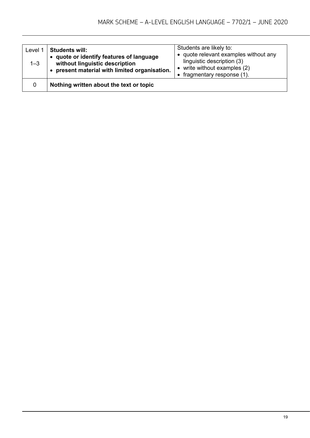| Level 1<br>$1 - 3$ | <b>Students will:</b><br>• quote or identify features of language<br>without linguistic description<br>present material with limited organisation. | Students are likely to:<br>• quote relevant examples without any<br>linguistic description (3)<br>$\bullet$ write without examples (2)<br>• fragmentary response $(1)$ . |
|--------------------|----------------------------------------------------------------------------------------------------------------------------------------------------|--------------------------------------------------------------------------------------------------------------------------------------------------------------------------|
| 0                  | Nothing written about the text or topic                                                                                                            |                                                                                                                                                                          |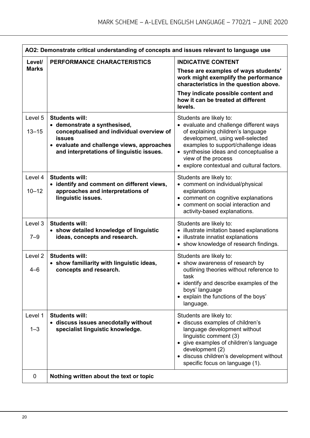| AO2: Demonstrate critical understanding of concepts and issues relevant to language use |                                                                                                                                                                                                                |                                                                                                                                                                                                                                                                                                   |
|-----------------------------------------------------------------------------------------|----------------------------------------------------------------------------------------------------------------------------------------------------------------------------------------------------------------|---------------------------------------------------------------------------------------------------------------------------------------------------------------------------------------------------------------------------------------------------------------------------------------------------|
| Level/                                                                                  | PERFORMANCE CHARACTERISTICS                                                                                                                                                                                    | <b>INDICATIVE CONTENT</b>                                                                                                                                                                                                                                                                         |
| <b>Marks</b>                                                                            |                                                                                                                                                                                                                | These are examples of ways students'<br>work might exemplify the performance<br>characteristics in the question above.                                                                                                                                                                            |
|                                                                                         |                                                                                                                                                                                                                | They indicate possible content and<br>how it can be treated at different<br>levels.                                                                                                                                                                                                               |
| Level 5<br>$13 - 15$                                                                    | <b>Students will:</b><br>• demonstrate a synthesised,<br>conceptualised and individual overview of<br><b>issues</b><br>• evaluate and challenge views, approaches<br>and interpretations of linguistic issues. | Students are likely to:<br>• evaluate and challenge different ways<br>of explaining children's language<br>development, using well-selected<br>examples to support/challenge ideas<br>• synthesise ideas and conceptualise a<br>view of the process<br>• explore contextual and cultural factors. |
| Level 4<br>$10 - 12$                                                                    | <b>Students will:</b><br>• identify and comment on different views,<br>approaches and interpretations of<br>linguistic issues.                                                                                 | Students are likely to:<br>• comment on individual/physical<br>explanations<br>• comment on cognitive explanations<br>• comment on social interaction and<br>activity-based explanations.                                                                                                         |
| Level 3<br>$7 - 9$                                                                      | <b>Students will:</b><br>• show detailed knowledge of linguistic<br>ideas, concepts and research.                                                                                                              | Students are likely to:<br>• illustrate imitation based explanations<br>• illustrate innatist explanations<br>• show knowledge of research findings.                                                                                                                                              |
| Level <sub>2</sub><br>$4 - 6$                                                           | <b>Students will:</b><br>• show familiarity with linguistic ideas,<br>concepts and research.                                                                                                                   | Students are likely to:<br>• show awareness of research by<br>outlining theories without reference to<br>task<br>• identify and describe examples of the<br>boys' language<br>• explain the functions of the boys'<br>language.                                                                   |
| Level 1<br>$1 - 3$                                                                      | <b>Students will:</b><br>• discuss issues anecdotally without<br>specialist linguistic knowledge.                                                                                                              | Students are likely to:<br>• discuss examples of children's<br>language development without<br>linguistic comment (3)<br>• give examples of children's language<br>development (2)<br>· discuss children's development without<br>specific focus on language (1).                                 |
| 0                                                                                       | Nothing written about the text or topic                                                                                                                                                                        |                                                                                                                                                                                                                                                                                                   |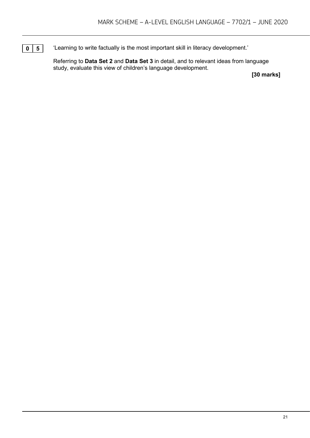**0 5** <sup>t</sup> Learning to write factually is the most important skill in literacy development.'

Referring to **Data Set 2** and **Data Set 3** in detail, and to relevant ideas from language study, evaluate this view of children's language development.

**[30 marks]**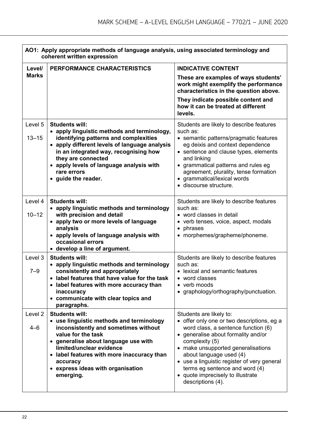| AO1: Apply appropriate methods of language analysis, using associated terminology and<br>coherent written expression |                                                                                                                                                                                                                                                                                                                 |                                                                                                                                                                                                                                                                                                                                                                                   |
|----------------------------------------------------------------------------------------------------------------------|-----------------------------------------------------------------------------------------------------------------------------------------------------------------------------------------------------------------------------------------------------------------------------------------------------------------|-----------------------------------------------------------------------------------------------------------------------------------------------------------------------------------------------------------------------------------------------------------------------------------------------------------------------------------------------------------------------------------|
| Level/                                                                                                               | PERFORMANCE CHARACTERISTICS                                                                                                                                                                                                                                                                                     | <b>INDICATIVE CONTENT</b>                                                                                                                                                                                                                                                                                                                                                         |
| <b>Marks</b>                                                                                                         |                                                                                                                                                                                                                                                                                                                 | These are examples of ways students'<br>work might exemplify the performance<br>characteristics in the question above.                                                                                                                                                                                                                                                            |
|                                                                                                                      |                                                                                                                                                                                                                                                                                                                 | They indicate possible content and<br>how it can be treated at different<br>levels.                                                                                                                                                                                                                                                                                               |
| Level 5<br>$13 - 15$                                                                                                 | <b>Students will:</b><br>• apply linguistic methods and terminology,<br>identifying patterns and complexities<br>• apply different levels of language analysis<br>in an integrated way, recognising how<br>they are connected<br>• apply levels of language analysis with<br>rare errors<br>• guide the reader. | Students are likely to describe features<br>such as:<br>• semantic patterns/pragmatic features<br>eg deixis and context dependence<br>• sentence and clause types, elements<br>and linking<br>• grammatical patterns and rules eg<br>agreement, plurality, tense formation<br>• grammatical/lexical words<br>· discourse structure.                                               |
| Level 4<br>$10 - 12$                                                                                                 | <b>Students will:</b><br>• apply linguistic methods and terminology<br>with precision and detail<br>• apply two or more levels of language<br>analysis<br>• apply levels of language analysis with<br>occasional errors<br>• develop a line of argument.                                                        | Students are likely to describe features<br>such as:<br>• word classes in detail<br>• verb tenses, voice, aspect, modals<br>• phrases<br>• morphemes/grapheme/phoneme.                                                                                                                                                                                                            |
| Level 3<br>$7 - 9$                                                                                                   | <b>Students will:</b><br>• apply linguistic methods and terminology<br>consistently and appropriately<br>label features that have value for the task<br>• label features with more accuracy than<br>inaccuracy<br>• communicate with clear topics and<br>paragraphs.                                            | Students are likely to describe features<br>such as:<br>• lexical and semantic features<br>vord classes<br>• verb moods<br>• graphology/orthography/punctuation.                                                                                                                                                                                                                  |
| Level <sub>2</sub><br>$4 - 6$                                                                                        | <b>Students will:</b><br>• use linguistic methods and terminology<br>inconsistently and sometimes without<br>value for the task<br>• generalise about language use with<br>limited/unclear evidence<br>• label features with more inaccuracy than<br>accuracy<br>• express ideas with organisation<br>emerging. | Students are likely to:<br>• offer only one or two descriptions, eg a<br>word class, a sentence function (6)<br>• generalise about formality and/or<br>complexity (5)<br>• make unsupported generalisations<br>about language used (4)<br>• use a linguistic register of very general<br>terms eg sentence and word (4)<br>• quote imprecisely to illustrate<br>descriptions (4). |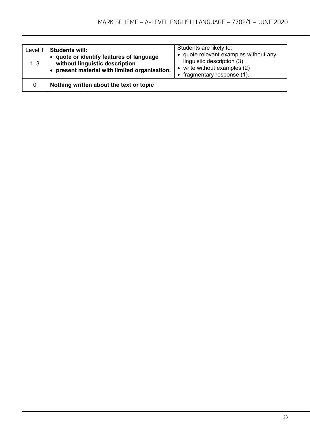| Level 1<br>$1 - 3$ | <b>Students will:</b><br>• quote or identify features of language<br>without linguistic description<br>present material with limited organisation. | Students are likely to:<br>• quote relevant examples without any<br>linguistic description (3)<br>$\bullet$ write without examples (2)<br>• fragmentary response $(1)$ . |
|--------------------|----------------------------------------------------------------------------------------------------------------------------------------------------|--------------------------------------------------------------------------------------------------------------------------------------------------------------------------|
| 0                  | Nothing written about the text or topic                                                                                                            |                                                                                                                                                                          |